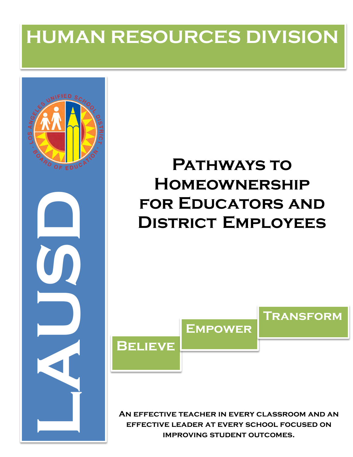# **HUMAN RESOURCES DIVISION**



## **PATHWAYS TO Homeownership for Educators and District Employees**



**An effective teacher in every classroom and an effective leader at every school focused on improving student outcomes.**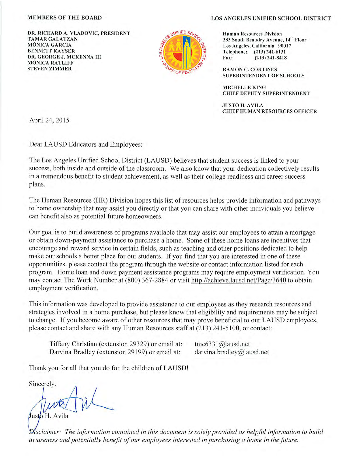#### **MEMBERS OF THE BOARD**

DR. RICHARD A. VLADOVIC, PRESIDENT **TAMAR GALATZAN MÓNICA GARCÍA BENNETT KAYSER** DR. GEORGE J. MCKENNA III **MÓNICA RATLIFF STEVEN ZIMMER** 



#### **LOS ANGELES UNIFIED SCHOOL DISTRICT**

**Human Resources Division** 333 South Beaudry Avenue, 14th Floor Los Angeles, California 90017 Telephone: (213) 241-6131 Fax:  $(213)$  241-8418

**RAMON C. CORTINES** SUPERINTENDENT OF SCHOOLS

**MICHELLE KING CHIEF DEPUTY SUPERINTENDENT** 

**JUSTO H. AVILA CHIEF HUMAN RESOURCES OFFICER** 

April 24, 2015

Dear LAUSD Educators and Employees:

The Los Angeles Unified School District (LAUSD) believes that student success is linked to your success, both inside and outside of the classroom. We also know that your dedication collectively results in a tremendous benefit to student achievement, as well as their college readiness and career success plans.

The Human Resources (HR) Division hopes this list of resources helps provide information and pathways to home ownership that may assist you directly or that you can share with other individuals you believe can benefit also as potential future homeowners.

Our goal is to build awareness of programs available that may assist our employees to attain a mortgage or obtain down-payment assistance to purchase a home. Some of these home loans are incentives that encourage and reward service in certain fields, such as teaching and other positions dedicated to help make our schools a better place for our students. If you find that you are interested in one of these opportunities, please contact the program through the website or contact information listed for each program. Home loan and down payment assistance programs may require employment verification. You may contact The Work Number at (800) 367-2884 or visit http://achieve.lausd.net/Page/3640 to obtain employment verification.

This information was developed to provide assistance to our employees as they research resources and strategies involved in a home purchase, but please know that eligibility and requirements may be subject to change. If you become aware of other resources that may prove beneficial to our LAUSD employees, please contact and share with any Human Resources staff at (213) 241-5100, or contact:

Tiffany Christian (extension 29329) or email at: Darvina Bradley (extension 29199) or email at:

tmc6331@lausd.net darvina.bradley@lausd.net

Thank you for all that you do for the children of LAUSD!

Sincerely,

Justo H. Avila

Disclaimer: The information contained in this document is solely provided as helpful information to build awareness and potentially benefit of our employees interested in purchasing a home in the future.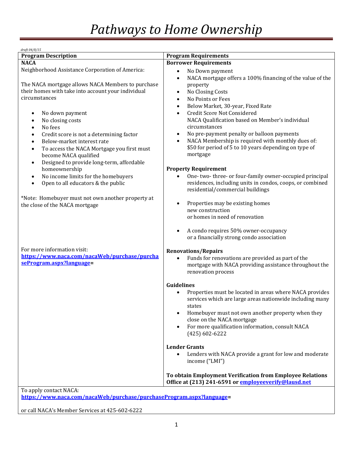| draft 04/8/15                                           |                                                                        |
|---------------------------------------------------------|------------------------------------------------------------------------|
| <b>Program Description</b>                              | <b>Program Requirements</b>                                            |
| <b>NACA</b>                                             | <b>Borrower Requirements</b>                                           |
| Neighborhood Assistance Corporation of America:         | No Down payment<br>$\bullet$                                           |
|                                                         |                                                                        |
|                                                         | NACA mortgage offers a 100% financing of the value of the<br>$\bullet$ |
| The NACA mortgage allows NACA Members to purchase       | property                                                               |
| their homes with take into account your individual      | No Closing Costs<br>$\bullet$                                          |
| circumstances                                           | No Points or Fees<br>$\bullet$                                         |
|                                                         | Below Market, 30-year, Fixed Rate<br>$\bullet$                         |
|                                                         | Credit Score Not Considered<br>$\bullet$                               |
| No down payment<br>٠                                    |                                                                        |
| No closing costs<br>$\bullet$                           | NACA Qualification based on Member's individual                        |
| No fees<br>$\bullet$                                    | circumstances                                                          |
| Credit score is not a determining factor<br>$\bullet$   | No pre-payment penalty or balloon payments<br>$\bullet$                |
| Below-market interest rate<br>$\bullet$                 | NACA Membership is required with monthly dues of:<br>$\bullet$         |
| To access the NACA Mortgage you first must<br>$\bullet$ | \$50 for period of 5 to 10 years depending on type of                  |
|                                                         | mortgage                                                               |
| become NACA qualified                                   |                                                                        |
| Designed to provide long-term, affordable<br>$\bullet$  |                                                                        |
| homeownership                                           | <b>Property Requirement</b>                                            |
| No income limits for the homebuyers<br>$\bullet$        | One-two-three-or four-family owner-occupied principal                  |
| Open to all educators & the public<br>$\bullet$         | residences, including units in condos, coops, or combined              |
|                                                         | residential/commercial buildings                                       |
|                                                         |                                                                        |
| *Note: Homebuyer must not own another property at       |                                                                        |
| the close of the NACA mortgage                          | Properties may be existing homes<br>$\bullet$                          |
|                                                         | new construction                                                       |
|                                                         | or homes in need of renovation                                         |
|                                                         |                                                                        |
|                                                         | A condo requires 50% owner-occupancy<br>$\bullet$                      |
|                                                         | or a financially strong condo association                              |
|                                                         |                                                                        |
| For more information visit:                             |                                                                        |
|                                                         | <b>Renovations/Repairs</b>                                             |
| https://www.naca.com/nacaWeb/purchase/purcha            | Funds for renovations are provided as part of the<br>$\bullet$         |
| seProgram.aspx?language=                                | mortgage with NACA providing assistance throughout the                 |
|                                                         | renovation process                                                     |
|                                                         |                                                                        |
|                                                         | <b>Guidelines</b>                                                      |
|                                                         |                                                                        |
|                                                         | Properties must be located in areas where NACA provides<br>$\bullet$   |
|                                                         | services which are large areas nationwide including many               |
|                                                         | states                                                                 |
|                                                         | Homebuyer must not own another property when they<br>$\bullet$         |
|                                                         | close on the NACA mortgage                                             |
|                                                         | For more qualification information, consult NACA<br>$\bullet$          |
|                                                         | $(425)$ 602-6222                                                       |
|                                                         |                                                                        |
|                                                         |                                                                        |
|                                                         | <b>Lender Grants</b>                                                   |
|                                                         | Lenders with NACA provide a grant for low and moderate<br>$\bullet$    |
|                                                         | income ("LMI")                                                         |
|                                                         |                                                                        |
|                                                         | To obtain Employment Verification from Employee Relations              |
|                                                         | Office at (213) 241-6591 or employeeverify@lausd.net                   |
|                                                         |                                                                        |
| To apply contact NACA:                                  |                                                                        |

**[https://www.naca.com/nacaWeb/purchase/purchaseProgram.aspx?language=](https://www.naca.com/nacaWeb/purchase/purchaseProgram.aspx?language)** 

or call NACA's Member Services at 425-602-6222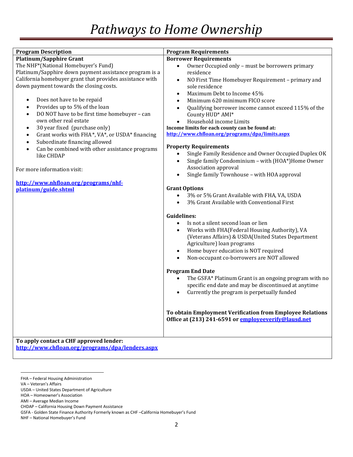| <b>Program Description</b>                                                                                                                                                                                                                                                                                                                                                                                                                                                                                                                                                                                                                                                                                                                                   | <b>Program Requirements</b>                                                                                                                                                                                                                                                                                                                                                                                                                                                                                                                                                                                                                                                                                                                                                                                                                                                                                                                                                                                                                                                                                                                                                                                                                                                                                                                                                                                                                                                                                                                                                            |
|--------------------------------------------------------------------------------------------------------------------------------------------------------------------------------------------------------------------------------------------------------------------------------------------------------------------------------------------------------------------------------------------------------------------------------------------------------------------------------------------------------------------------------------------------------------------------------------------------------------------------------------------------------------------------------------------------------------------------------------------------------------|----------------------------------------------------------------------------------------------------------------------------------------------------------------------------------------------------------------------------------------------------------------------------------------------------------------------------------------------------------------------------------------------------------------------------------------------------------------------------------------------------------------------------------------------------------------------------------------------------------------------------------------------------------------------------------------------------------------------------------------------------------------------------------------------------------------------------------------------------------------------------------------------------------------------------------------------------------------------------------------------------------------------------------------------------------------------------------------------------------------------------------------------------------------------------------------------------------------------------------------------------------------------------------------------------------------------------------------------------------------------------------------------------------------------------------------------------------------------------------------------------------------------------------------------------------------------------------------|
| <b>Platinum/Sapphire Grant</b><br>The NHF*(National Homebuyer's Fund)<br>Platinum/Sapphire down payment assistance program is a<br>California homebuyer grant that provides assistance with<br>down payment towards the closing costs.<br>Does not have to be repaid<br>$\bullet$<br>Provides up to 5% of the loan<br>$\bullet$<br>DO NOT have to be first time homebuyer - can<br>$\bullet$<br>own other real estate<br>30 year fixed (purchase only)<br>$\bullet$<br>Grant works with FHA*, VA*, or USDA* financing<br>$\bullet$<br>Subordinate financing allowed<br>$\bullet$<br>Can be combined with other assistance programs<br>$\bullet$<br>like CHDAP<br>For more information visit:<br>http://www.nhfloan.org/programs/nhf-<br>platinum/guide.shtml | <b>Borrower Requirements</b><br>Owner Occupied only - must be borrowers primary<br>$\bullet$<br>residence<br>NO First Time Homebuyer Requirement - primary and<br>$\bullet$<br>sole residence<br>Maximum Debt to Income 45%<br>$\bullet$<br>Minimum 620 minimum FICO score<br>$\bullet$<br>Qualifying borrower income cannot exceed 115% of the<br>County HUD* AMI*<br>Household income Limits<br>Income limits for each county can be found at:<br>http://www.chfloan.org/programs/dpa/limits.aspx<br><b>Property Requirements</b><br>Single Family Residence and Owner Occupied Duplex OK<br>$\bullet$<br>Single family Condominium - with (HOA*)Home Owner<br>$\bullet$<br>Association approval<br>Single family Townhouse - with HOA approval<br>$\bullet$<br><b>Grant Options</b><br>3% or 5% Grant Available with FHA, VA, USDA<br>$\bullet$<br>3% Grant Available with Conventional First<br><b>Guidelines:</b><br>Is not a silent second loan or lien<br>$\bullet$<br>Works with FHA(Federal Housing Authority), VA<br>$\bullet$<br>(Veterans Affairs) & USDA(United States Department<br>Agriculture) loan programs<br>Home buyer education is NOT required<br>$\bullet$<br>Non-occupant co-borrowers are NOT allowed<br>$\bullet$<br><b>Program End Date</b><br>The GSFA* Platinum Grant is an ongoing program with no<br>$\bullet$<br>specific end date and may be discontinued at anytime<br>Currently the program is perpetually funded<br>$\bullet$<br>To obtain Employment Verification from Employee Relations<br>Office at (213) 241-6591 or employeeverify@lausd.net |
| To apply contact a CHF approved lender:<br>http://www.chfloan.org/programs/dpa/lenders.aspx                                                                                                                                                                                                                                                                                                                                                                                                                                                                                                                                                                                                                                                                  |                                                                                                                                                                                                                                                                                                                                                                                                                                                                                                                                                                                                                                                                                                                                                                                                                                                                                                                                                                                                                                                                                                                                                                                                                                                                                                                                                                                                                                                                                                                                                                                        |

 $\overline{\phantom{a}}$ 

FHA – Federal Housing Administration

VA – Veteran's Affairs

USDA – United States Department of Agriculture

HOA – Homeowner's Association

AMI – Average Median Income

CHDAP – California Housing Down Payment Assistance

GSFA - Golden State Finance Authority Formerly known as CHF –California Homebuyer's Fund

NHF – National Homebuyer's Fund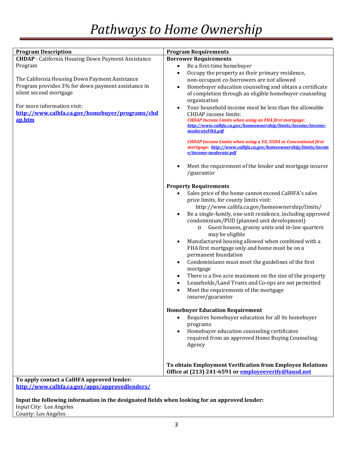| <b>Program Description</b>                                | <b>Program Requirements</b>                                                                                                             |
|-----------------------------------------------------------|-----------------------------------------------------------------------------------------------------------------------------------------|
| <b>CHDAP</b> - California Housing Down Payment Assistance | <b>Borrower Requirements</b>                                                                                                            |
| Program                                                   | Be a first-time homebuyer<br>$\bullet$                                                                                                  |
|                                                           | Occupy the property as their primary residence,<br>$\bullet$                                                                            |
| The California Housing Down Payment Assistance            | non-occupant co-borrowers are not allowed                                                                                               |
| Program provides 3% for down payment assistance in        | Homebuyer education counseling and obtain a certificate<br>$\bullet$                                                                    |
| silent second mortgage                                    | of completion through an eligible homebuyer counseling                                                                                  |
|                                                           | organization                                                                                                                            |
| For more information visit:                               | Your household income must be less than the allowable<br>$\bullet$                                                                      |
| http://www.calhfa.ca.gov/homebuyer/programs/chd           | <b>CHDAP</b> income limits:                                                                                                             |
| ap.htm                                                    | <b>CHDAP Income Limits when using an FHA first mortgage:</b><br>http://www.calhfa.ca.gov/homeownership/limits/income/income-            |
|                                                           | moderateFHA.pdf                                                                                                                         |
|                                                           |                                                                                                                                         |
|                                                           | <b>CHDAP Income Limits when using a VA, USDA or Conventional first</b><br>mortgage: http://www.calhfa.ca.gov/homeownership/limits/incom |
|                                                           | e/income-moderate.pdf                                                                                                                   |
|                                                           |                                                                                                                                         |
|                                                           | Meet the requirement of the lender and mortgage insurer<br>$\bullet$                                                                    |
|                                                           | /guarantor                                                                                                                              |
|                                                           | <b>Property Requirements</b>                                                                                                            |
|                                                           | Sales price of the home cannot exceed CalHFA's sales<br>$\bullet$                                                                       |
|                                                           | price limits, for county limits visit:                                                                                                  |
|                                                           | http://www.calhfa.ca.gov/homeownership/limits/                                                                                          |
|                                                           | Be a single-family, one-unit residence, including approved<br>$\bullet$                                                                 |
|                                                           | condominium/PUD (planned unit development)                                                                                              |
|                                                           | Guest houses, granny units and in-law quarters<br>$\circ$                                                                               |
|                                                           | may be eligible                                                                                                                         |
|                                                           | Manufactured housing allowed when combined with a<br>$\bullet$                                                                          |
|                                                           | FHA first mortgage only and home must be on a                                                                                           |
|                                                           | permanent foundation                                                                                                                    |
|                                                           | Condominiums must meet the guidelines of the first<br>$\bullet$                                                                         |
|                                                           | mortgage                                                                                                                                |
|                                                           | There is a five acre maximum on the size of the property<br>$\bullet$                                                                   |
|                                                           | Leaseholds/Land Trusts and Co-ops are not permitted<br>$\bullet$                                                                        |
|                                                           | Meet the requirements of the mortgage<br>$\bullet$                                                                                      |
|                                                           | insurer/guarantor                                                                                                                       |
|                                                           | <b>Homebuyer Education Requirement</b>                                                                                                  |
|                                                           | Requires homebuyer education for all its homebuyer<br>$\bullet$                                                                         |
|                                                           | programs                                                                                                                                |
|                                                           | Homebuyer education counseling certificates<br>$\bullet$                                                                                |
|                                                           | required from an approved Home Buying Counseling                                                                                        |
|                                                           | Agency                                                                                                                                  |
|                                                           |                                                                                                                                         |
|                                                           |                                                                                                                                         |
|                                                           | To obtain Employment Verification from Employee Relations<br>Office at (213) 241-6591 or employeeverify@lausd.net                       |
| To apply contact a CalHFA approved lender:                |                                                                                                                                         |

**<http://www.calhfa.ca.gov/apps/approvedlenders/>**

**Input the following information in the designated fields when looking for an approved lender:**

Input City: Los Angeles County: Los Angeles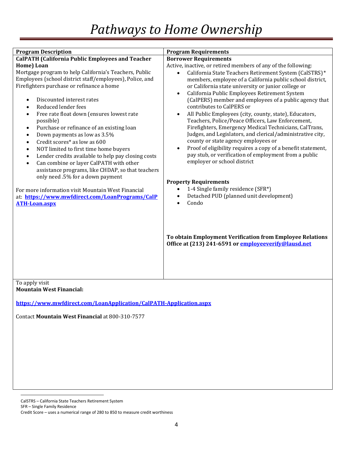| <b>Program Description</b>                                                                                                                                                                                                                                                                                                                                                                                                                                                                                                                                                                                                                                                                                                                                                                                                                                                                                                                                   | <b>Program Requirements</b>                                                                                                                                                                                                                                                                                                                                                                                                                                                                                                                                                                                                                                                                                                                                                                                                                                                                                                                                                                                                                                                                                                                                                                         |
|--------------------------------------------------------------------------------------------------------------------------------------------------------------------------------------------------------------------------------------------------------------------------------------------------------------------------------------------------------------------------------------------------------------------------------------------------------------------------------------------------------------------------------------------------------------------------------------------------------------------------------------------------------------------------------------------------------------------------------------------------------------------------------------------------------------------------------------------------------------------------------------------------------------------------------------------------------------|-----------------------------------------------------------------------------------------------------------------------------------------------------------------------------------------------------------------------------------------------------------------------------------------------------------------------------------------------------------------------------------------------------------------------------------------------------------------------------------------------------------------------------------------------------------------------------------------------------------------------------------------------------------------------------------------------------------------------------------------------------------------------------------------------------------------------------------------------------------------------------------------------------------------------------------------------------------------------------------------------------------------------------------------------------------------------------------------------------------------------------------------------------------------------------------------------------|
| <b>CalPATH (California Public Employees and Teacher</b><br>Home) Loan<br>Mortgage program to help California's Teachers, Public<br>Employees (school district staff/employees), Police, and<br>Firefighters purchase or refinance a home<br>Discounted interest rates<br>$\bullet$<br>Reduced lender fees<br>$\bullet$<br>Free rate float down (ensures lowest rate<br>$\bullet$<br>possible)<br>Purchase or refinance of an existing loan<br>$\bullet$<br>Down payments as low as 3.5%<br>$\bullet$<br>Credit scores* as low as 600<br>$\bullet$<br>NOT limited to first time home buyers<br>$\bullet$<br>Lender credits available to help pay closing costs<br>$\bullet$<br>Can combine or layer CalPATH with other<br>$\bullet$<br>assistance programs, like CHDAP, so that teachers<br>only need .5% for a down payment<br>For more information visit Mountain West Financial<br>at: https://www.mwfdirect.com/LoanPrograms/CalP<br><b>ATH-Loan.aspx</b> | <b>Borrower Requirements</b><br>Active, inactive, or retired members of any of the following:<br>California State Teachers Retirement System (CalSTRS)*<br>$\bullet$<br>members, employee of a California public school district,<br>or California state university or junior college or<br>California Public Employees Retirement System<br>$\bullet$<br>(CalPERS) member and employees of a public agency that<br>contributes to CalPERS or<br>All Public Employees (city, county, state), Educators,<br>$\bullet$<br>Teachers, Police/Peace Officers, Law Enforcement,<br>Firefighters, Emergency Medical Technicians, CalTrans,<br>Judges, and Legislators, and clerical/administrative city,<br>county or state agency employees or<br>Proof of eligibility requires a copy of a benefit statement,<br>$\bullet$<br>pay stub, or verification of employment from a public<br>employer or school district<br><b>Property Requirements</b><br>1-4 Single family residence (SFR*)<br>$\bullet$<br>Detached PUD (planned unit development)<br>$\bullet$<br>Condo<br>$\bullet$<br>To obtain Employment Verification from Employee Relations<br>Office at (213) 241-6591 or employeeverify@lausd.net |
| To apply visit                                                                                                                                                                                                                                                                                                                                                                                                                                                                                                                                                                                                                                                                                                                                                                                                                                                                                                                                               |                                                                                                                                                                                                                                                                                                                                                                                                                                                                                                                                                                                                                                                                                                                                                                                                                                                                                                                                                                                                                                                                                                                                                                                                     |

**Mountain West Financial:**

**<https://www.mwfdirect.com/LoanApplication/CalPATH-Application.aspx>**

Contact **Mountain West Financial** at 800-310-7577

<span id="page-5-0"></span>l CalSTRS – California State Teachers Retirement System

SFR – Single Family Residence

Credit Score – uses a numerical range of 280 to 850 to measure credit worthiness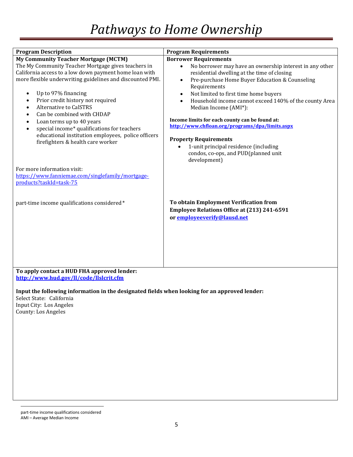| <b>Program Description</b>                                                                    | <b>Program Requirements</b>                                                                  |
|-----------------------------------------------------------------------------------------------|----------------------------------------------------------------------------------------------|
| <b>My Community Teacher Mortgage (MCTM)</b>                                                   | <b>Borrower Requirements</b>                                                                 |
| The My Community Teacher Mortgage gives teachers in                                           | No borrower may have an ownership interest in any other<br>$\bullet$                         |
| California access to a low down payment home loan with                                        | residential dwelling at the time of closing                                                  |
| more flexible underwriting guidelines and discounted PMI.                                     | Pre-purchase Home Buyer Education & Counseling<br>$\bullet$                                  |
| Up to 97% financing<br>$\bullet$                                                              | Requirements<br>Not limited to first time home buyers<br>$\bullet$                           |
| Prior credit history not required<br>$\bullet$                                                |                                                                                              |
| <b>Alternative to CalSTRS</b><br>$\bullet$                                                    | Household income cannot exceed 140% of the county Area<br>$\bullet$<br>Median Income (AMI*): |
| Can be combined with CHDAP<br>$\bullet$                                                       |                                                                                              |
| Loan terms up to 40 years<br>$\bullet$                                                        | Income limits for each county can be found at:                                               |
| special income* qualifications for teachers<br>$\bullet$                                      | http://www.chfloan.org/programs/dpa/limits.aspx                                              |
| educational institution employees, police officers                                            |                                                                                              |
| firefighters & health care worker                                                             | <b>Property Requirements</b>                                                                 |
|                                                                                               | 1-unit principal residence (including<br>$\bullet$                                           |
|                                                                                               | condos, co-ops, and PUD(planned unit                                                         |
|                                                                                               | development)                                                                                 |
| For more information visit:                                                                   |                                                                                              |
| https://www.fanniemae.com/singlefamily/mortgage-                                              |                                                                                              |
| products?taskId=task-75                                                                       |                                                                                              |
|                                                                                               |                                                                                              |
|                                                                                               |                                                                                              |
| part-time income qualifications considered*                                                   | To obtain Employment Verification from                                                       |
|                                                                                               | Employee Relations Office at (213) 241-6591                                                  |
|                                                                                               | or employeeverify@lausd.net                                                                  |
|                                                                                               |                                                                                              |
|                                                                                               |                                                                                              |
|                                                                                               |                                                                                              |
|                                                                                               |                                                                                              |
|                                                                                               |                                                                                              |
|                                                                                               |                                                                                              |
| To apply contact a HUD FHA approved lender:                                                   |                                                                                              |
| http://www.hud.gov/ll/code/llslcrit.cfm                                                       |                                                                                              |
|                                                                                               |                                                                                              |
| Input the following information in the designated fields when looking for an approved lender: |                                                                                              |
| Select State: California                                                                      |                                                                                              |

<span id="page-6-0"></span>Input City: Los Angeles County: Los Angeles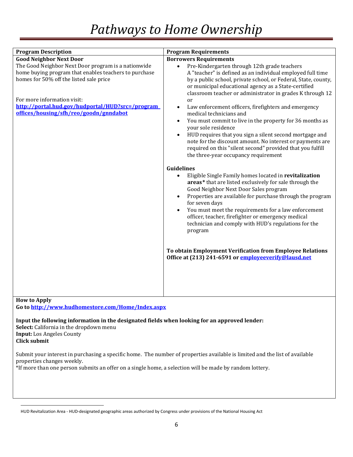| <b>Program Description</b>                                                                                                                                                                                                                                                                                             | <b>Program Requirements</b>                                                                                                                                                                                                                                                                                                                                                                                                                                                                                                                                                                                                                                                                                                                                                                                                                                                                                                                                                                                                                                                                                                                                                                                                                                                                                                                          |
|------------------------------------------------------------------------------------------------------------------------------------------------------------------------------------------------------------------------------------------------------------------------------------------------------------------------|------------------------------------------------------------------------------------------------------------------------------------------------------------------------------------------------------------------------------------------------------------------------------------------------------------------------------------------------------------------------------------------------------------------------------------------------------------------------------------------------------------------------------------------------------------------------------------------------------------------------------------------------------------------------------------------------------------------------------------------------------------------------------------------------------------------------------------------------------------------------------------------------------------------------------------------------------------------------------------------------------------------------------------------------------------------------------------------------------------------------------------------------------------------------------------------------------------------------------------------------------------------------------------------------------------------------------------------------------|
| <b>Good Neighbor Next Door</b><br>The Good Neighbor Next Door program is a nationwide<br>home buying program that enables teachers to purchase<br>homes for 50% off the listed sale price<br>For more information visit:<br>http://portal.hud.gov/hudportal/HUD?src=/program<br>offices/housing/sfh/reo/goodn/gnndabot | <b>Borrowers Requirements</b><br>Pre-Kindergarten through 12th grade teachers<br>$\bullet$<br>A "teacher" is defined as an individual employed full time<br>by a public school, private school, or Federal, State, county,<br>or municipal educational agency as a State-certified<br>classroom teacher or administrator in grades K through 12<br>or<br>Law enforcement officers, firefighters and emergency<br>medical technicians and<br>You must commit to live in the property for 36 months as<br>your sole residence<br>HUD requires that you sign a silent second mortgage and<br>note for the discount amount. No interest or payments are<br>required on this "silent second" provided that you fulfill<br>the three-year occupancy requirement<br>Guidelines<br>Eligible Single Family homes located in revitalization<br>areas* that are listed exclusively for sale through the<br>Good Neighbor Next Door Sales program<br>Properties are available for purchase through the program<br>$\bullet$<br>for seven days<br>You must meet the requirements for a law enforcement<br>$\bullet$<br>officer, teacher, firefighter or emergency medical<br>technician and comply with HUD's regulations for the<br>program<br>To obtain Employment Verification from Employee Relations<br>Office at (213) 241-6591 or employeeverify@lausd.net |
|                                                                                                                                                                                                                                                                                                                        |                                                                                                                                                                                                                                                                                                                                                                                                                                                                                                                                                                                                                                                                                                                                                                                                                                                                                                                                                                                                                                                                                                                                                                                                                                                                                                                                                      |
|                                                                                                                                                                                                                                                                                                                        |                                                                                                                                                                                                                                                                                                                                                                                                                                                                                                                                                                                                                                                                                                                                                                                                                                                                                                                                                                                                                                                                                                                                                                                                                                                                                                                                                      |

**How to Apply Go to<http://www.hudhomestore.com/Home/Index.aspx>**

**Input the following information in the designated fields when looking for an approved lender:**

**Select:** California in the dropdown menu **Input:** Los Angeles County **Click submit**

 $\overline{\phantom{a}}$ 

Submit your interest in purchasing a specific home. The number of properties available is limited and the list of available properties changes weekly.

\*If more than one person submits an offer on a single home, a selection will be made by random lottery.

HUD Revitalization Area - HUD-designated geographic areas authorized by Congress under provisions of the National Housing Act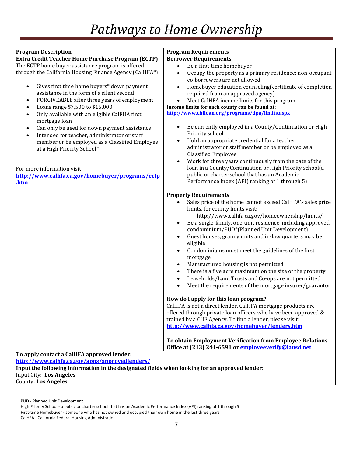| <b>Program Description</b>                                                                    | <b>Program Requirements</b>                                           |
|-----------------------------------------------------------------------------------------------|-----------------------------------------------------------------------|
| <b>Extra Credit Teacher Home Purchase Program (ECTP)</b>                                      | <b>Borrower Requirements</b>                                          |
| The ECTP home buyer assistance program is offered                                             | Be a first-time homebuyer<br>$\bullet$                                |
| through the California Housing Finance Agency (CalHFA*)                                       | Occupy the property as a primary residence; non-occupant<br>$\bullet$ |
|                                                                                               | co-borrowers are not allowed                                          |
| Gives first time home buyers* down payment<br>$\bullet$                                       | Homebuyer education counseling (certificate of completion             |
| assistance in the form of a silent second                                                     | required from an approved agency)                                     |
| FORGIVEABLE after three years of employment<br>$\bullet$                                      | Meet CalHFA income limits for this program                            |
| Loans range \$7,500 to \$15,000<br>٠                                                          | Income limits for each county can be found at:                        |
| Only available with an eligible CalFHA first<br>$\bullet$                                     | http://www.chfloan.org/programs/dpa/limits.aspx                       |
| mortgage loan                                                                                 |                                                                       |
| Can only be used for down payment assistance<br>$\bullet$                                     | Be currently employed in a County/Continuation or High                |
| Intended for teacher, administrator or staff<br>$\bullet$                                     | Priority school                                                       |
| member or be employed as a Classified Employee                                                | Hold an appropriate credential for a teacher,<br>$\bullet$            |
| at a High Priority School*                                                                    | administrator or staff member or be employed as a                     |
|                                                                                               | <b>Classified Employee</b>                                            |
|                                                                                               | Work for three years continuously from the date of the<br>$\bullet$   |
| For more information visit:                                                                   | loan in a County/Continuation or High Priority school(a               |
| http://www.calhfa.ca.gov/homebuyer/programs/ectp                                              | public or charter school that has an Academic                         |
| .htm                                                                                          | Performance Index (API) ranking of 1 through 5)                       |
|                                                                                               |                                                                       |
|                                                                                               | <b>Property Requirements</b>                                          |
|                                                                                               | Sales price of the home cannot exceed CalHFA's sales price            |
|                                                                                               | limits, for county limits visit:                                      |
|                                                                                               | http://www.calhfa.ca.gov/homeownership/limits/                        |
|                                                                                               | Be a single-family, one-unit residence, including approved            |
|                                                                                               | condominium/PUD*(Planned Unit Development)                            |
|                                                                                               | Guest houses, granny units and in-law quarters may be                 |
|                                                                                               | eligible                                                              |
|                                                                                               | Condominiums must meet the guidelines of the first                    |
|                                                                                               | mortgage                                                              |
|                                                                                               | Manufactured housing is not permitted<br>$\bullet$                    |
|                                                                                               | There is a five acre maximum on the size of the property<br>$\bullet$ |
|                                                                                               | Leaseholds/Land Trusts and Co-ops are not permitted<br>$\bullet$      |
|                                                                                               | Meet the requirements of the mortgage insurer/guarantor               |
|                                                                                               |                                                                       |
|                                                                                               | How do I apply for this loan program?                                 |
|                                                                                               | CalHFA is not a direct lender, CalHFA mortgage products are           |
|                                                                                               | offered through private loan officers who have been approved &        |
|                                                                                               | trained by a CHF Agency. To find a lender, please visit:              |
|                                                                                               | http://www.calhfa.ca.gov/homebuyer/lenders.htm                        |
|                                                                                               |                                                                       |
|                                                                                               | To obtain Employment Verification from Employee Relations             |
|                                                                                               | Office at (213) 241-6591 or employeeverify@lausd.net                  |
| To apply contact a CalHFA approved lender:                                                    |                                                                       |
| http://www.calhfa.ca.gov/apps/approvedlenders/                                                |                                                                       |
| Input the following information in the designated fields when looking for an approved lender: |                                                                       |

Input City: **Los Angeles**

County: **Los Angeles**

l

PUD - Planned Unit Development

High Priority School - a public or charter school that has an Academic Performance Index (API) ranking of 1 through 5 First-time Homebuyer - someone who has not owned and occupied their own home in the last three years CalHFA - California Federal Housing Administration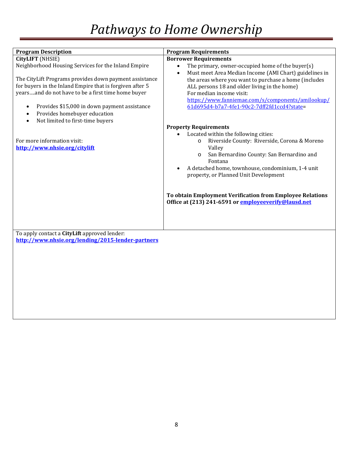| <b>Program Description</b>                                                                                                                                                                                                                                                                                                                                                         | <b>Program Requirements</b>                                                                                                                                                                                                                                                                                                                                                                      |
|------------------------------------------------------------------------------------------------------------------------------------------------------------------------------------------------------------------------------------------------------------------------------------------------------------------------------------------------------------------------------------|--------------------------------------------------------------------------------------------------------------------------------------------------------------------------------------------------------------------------------------------------------------------------------------------------------------------------------------------------------------------------------------------------|
| CityLIFT (NHSIE)                                                                                                                                                                                                                                                                                                                                                                   | <b>Borrower Requirements</b>                                                                                                                                                                                                                                                                                                                                                                     |
| Neighborhood Housing Services for the Inland Empire<br>The CityLift Programs provides down payment assistance<br>for buyers in the Inland Empire that is forgiven after 5<br>yearsand do not have to be a first time home buyer<br>Provides \$15,000 in down payment assistance<br>$\bullet$<br>Provides homebuyer education<br>٠<br>Not limited to first-time buyers<br>$\bullet$ | The primary, owner-occupied home of the buyer(s)<br>$\bullet$<br>Must meet Area Median Income (AMI Chart) guidelines in<br>$\bullet$<br>the areas where you want to purchase a home (includes<br>ALL persons 18 and older living in the home)<br>For median income visit:<br>https://www.fanniemae.com/s/components/amilookup/<br>61d695d4-b7a7-4fe1-90c2-7dff2fd1ccd4?state=                    |
|                                                                                                                                                                                                                                                                                                                                                                                    | <b>Property Requirements</b>                                                                                                                                                                                                                                                                                                                                                                     |
| For more information visit:<br>http://www.nhsie.org/citylift                                                                                                                                                                                                                                                                                                                       | Located within the following cities:<br>Riverside County: Riverside, Corona & Moreno<br>$\Omega$<br>Valley<br>San Bernardino County: San Bernardino and<br>$\circ$<br>Fontana<br>A detached home, townhouse, condominium, 1-4 unit<br>property, or Planned Unit Development<br>To obtain Employment Verification from Employee Relations<br>Office at (213) 241-6591 or employeeverify@lausd.net |
| To apply contact a CityLift approved lender:<br>http://www.nhsie.org/lending/2015-lender-partners                                                                                                                                                                                                                                                                                  |                                                                                                                                                                                                                                                                                                                                                                                                  |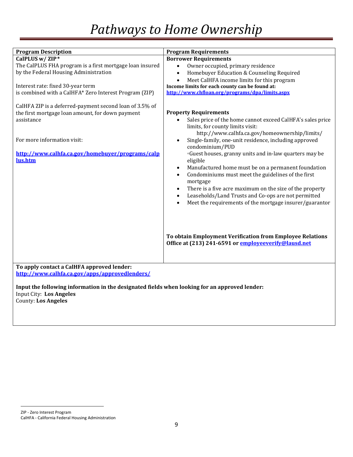| <b>Program Description</b>                                                                                                                                                                                              | <b>Program Requirements</b>                                                                                                                                                                                                                                                                                                                                                                                                                                                                                                                                                                                                                                                                                                         |
|-------------------------------------------------------------------------------------------------------------------------------------------------------------------------------------------------------------------------|-------------------------------------------------------------------------------------------------------------------------------------------------------------------------------------------------------------------------------------------------------------------------------------------------------------------------------------------------------------------------------------------------------------------------------------------------------------------------------------------------------------------------------------------------------------------------------------------------------------------------------------------------------------------------------------------------------------------------------------|
| CalPLUS w/ ZIP*<br>The CalPLUS FHA program is a first mortgage loan insured                                                                                                                                             | <b>Borrower Requirements</b><br>Owner occupied, primary residence<br>$\bullet$                                                                                                                                                                                                                                                                                                                                                                                                                                                                                                                                                                                                                                                      |
| by the Federal Housing Administration                                                                                                                                                                                   | Homebuyer Education & Counseling Required<br>$\bullet$<br>Meet CalHFA income limits for this program<br>$\bullet$                                                                                                                                                                                                                                                                                                                                                                                                                                                                                                                                                                                                                   |
| Interest rate: fixed 30-year term<br>is combined with a CalHFA* Zero Interest Program (ZIP)                                                                                                                             | Income limits for each county can be found at:<br>http://www.chfloan.org/programs/dpa/limits.aspx                                                                                                                                                                                                                                                                                                                                                                                                                                                                                                                                                                                                                                   |
| CalHFA ZIP is a deferred-payment second loan of 3.5% of<br>the first mortgage loan amount, for down payment<br>assistance<br>For more information visit:<br>http://www.calhfa.ca.gov/homebuyer/programs/calp<br>lus.htm | <b>Property Requirements</b><br>Sales price of the home cannot exceed CalHFA's sales price<br>limits, for county limits visit:<br>http://www.calhfa.ca.gov/homeownership/limits/<br>Single-family, one-unit residence, including approved<br>$\bullet$<br>condominium/PUD<br><sup>o</sup> Guest houses, granny units and in-law quarters may be<br>eligible<br>Manufactured home must be on a permanent foundation<br>$\bullet$<br>Condominiums must meet the guidelines of the first<br>$\bullet$<br>mortgage<br>There is a five acre maximum on the size of the property<br>$\bullet$<br>Leaseholds/Land Trusts and Co-ops are not permitted<br>$\bullet$<br>Meet the requirements of the mortgage insurer/guarantor<br>$\bullet$ |
|                                                                                                                                                                                                                         | To obtain Employment Verification from Employee Relations<br>Office at (213) 241-6591 or employeeverify@lausd.net                                                                                                                                                                                                                                                                                                                                                                                                                                                                                                                                                                                                                   |
| To apply contact a CalHFA approved lender:                                                                                                                                                                              |                                                                                                                                                                                                                                                                                                                                                                                                                                                                                                                                                                                                                                                                                                                                     |
| http://www.calhfa.ca.gov/apps/approvedlenders/                                                                                                                                                                          |                                                                                                                                                                                                                                                                                                                                                                                                                                                                                                                                                                                                                                                                                                                                     |
| Input the following information in the designated fields when looking for an approved lender:<br><b>Input City: Los Angeles</b><br><b>County: Los Angeles</b>                                                           |                                                                                                                                                                                                                                                                                                                                                                                                                                                                                                                                                                                                                                                                                                                                     |

l ZIP - Zero Interest Program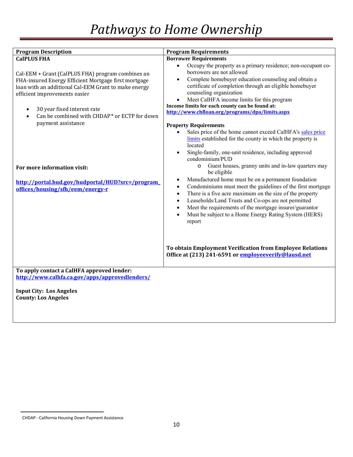| <b>Program Description</b>                                                                                                                    | <b>Program Requirements</b>                                                                                                                                                                                                                                                                                                                                                                                                          |
|-----------------------------------------------------------------------------------------------------------------------------------------------|--------------------------------------------------------------------------------------------------------------------------------------------------------------------------------------------------------------------------------------------------------------------------------------------------------------------------------------------------------------------------------------------------------------------------------------|
| <b>CalPLUS FHA</b><br>Cal-EEM + Grant (CalPLUS FHA) program combines an                                                                       | <b>Borrower Requirements</b><br>Occupy the property as a primary residence; non-occupant co-<br>$\bullet$<br>borrowers are not allowed                                                                                                                                                                                                                                                                                               |
| FHA-insured Energy Efficient Mortgage first mortgage<br>loan with an additional Cal-EEM Grant to make energy<br>efficient improvements easier | Complete homebuyer education counseling and obtain a<br>$\bullet$<br>certificate of completion through an eligible homebuyer<br>counseling organization<br>Meet CalHFA income limits for this program                                                                                                                                                                                                                                |
| 30 year fixed interest rate<br>$\bullet$<br>Can be combined with CHDAP* or ECTP for down<br>$\bullet$                                         | Income limits for each county can be found at:<br>http://www.chfloan.org/programs/dpa/limits.aspx                                                                                                                                                                                                                                                                                                                                    |
| payment assistance                                                                                                                            | <b>Property Requirements</b><br>Sales price of the home cannot exceed CalHFA's sales price<br>limits established for the county in which the property is<br>located<br>Single-family, one-unit residence, including approved<br>condominium/PUD                                                                                                                                                                                      |
| For more information visit:                                                                                                                   | Guest houses, granny units and in-law quarters may<br>$\circ$<br>be eligible                                                                                                                                                                                                                                                                                                                                                         |
| http://portal.hud.gov/hudportal/HUD?src=/program<br>offices/housing/sfh/eem/energy-r                                                          | Manufactured home must be on a permanent foundation<br>Condominiums must meet the guidelines of the first mortgage<br>$\bullet$<br>There is a five acre maximum on the size of the property<br>$\bullet$<br>Leaseholds/Land Trusts and Co-ops are not permitted<br>$\bullet$<br>Meet the requirements of the mortgage insurer/guarantor<br>$\bullet$<br>Must be subject to a Home Energy Rating System (HERS)<br>$\bullet$<br>report |
|                                                                                                                                               | To obtain Employment Verification from Employee Relations<br>Office at (213) 241-6591 or employeeverify@lausd.net                                                                                                                                                                                                                                                                                                                    |
| To apply contact a CalHFA approved lender:<br>http://www.calhfa.ca.gov/apps/approvedlenders/                                                  |                                                                                                                                                                                                                                                                                                                                                                                                                                      |
| <b>Input City: Los Angeles</b><br><b>County: Los Angeles</b>                                                                                  |                                                                                                                                                                                                                                                                                                                                                                                                                                      |

l

<span id="page-11-0"></span>CHDAP - California Housing Down Payment Assistance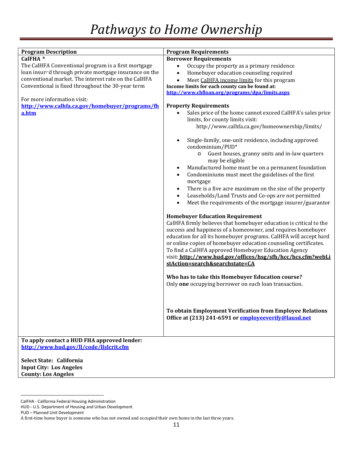| <b>Program Description</b>                             | <b>Program Requirements</b>                                                            |
|--------------------------------------------------------|----------------------------------------------------------------------------------------|
| CalFHA <sup>*</sup>                                    | <b>Borrower Requirements</b>                                                           |
| The CalHFA Conventional program is a first mortgage    | Occupy the property as a primary residence                                             |
| loan insured through private mortgage insurance on the | Homebuyer education counseling required<br>$\bullet$                                   |
| conventional market. The interest rate on the CalHFA   | Meet CalHFA income limits for this program<br>$\bullet$                                |
| Conventional is fixed throughout the 30-year term      | Income limits for each county can be found at:                                         |
|                                                        | http://www.chfloan.org/programs/dpa/limits.aspx                                        |
| For more information visit:                            |                                                                                        |
| http://www.calhfa.ca.gov/homebuyer/programs/fh         | <b>Property Requirements</b>                                                           |
| a.htm                                                  | Sales price of the home cannot exceed CalHFA's sales price                             |
|                                                        | limits, for county limits visit:                                                       |
|                                                        | http://www.calhfa.ca.gov/homeownership/limits/                                         |
|                                                        | Single-family, one-unit residence, including approved<br>$\bullet$<br>condominium/PUD* |
|                                                        | Guest houses, granny units and in-law quarters<br>$\circ$<br>may be eligible           |
|                                                        | Manufactured home must be on a permanent foundation<br>$\bullet$                       |
|                                                        | Condominiums must meet the guidelines of the first<br>$\bullet$<br>mortgage            |
|                                                        | There is a five acre maximum on the size of the property<br>$\bullet$                  |
|                                                        | Leaseholds/Land Trusts and Co-ops are not permitted<br>$\bullet$                       |
|                                                        | Meet the requirements of the mortgage insurer/guarantor<br>$\bullet$                   |
|                                                        |                                                                                        |
|                                                        | <b>Homebuyer Education Requirement</b>                                                 |
|                                                        | CalHFA firmly believes that homebuyer education is critical to the                     |
|                                                        | success and happiness of a homeowner, and requires homebuyer                           |
|                                                        | education for all its homebuyer programs. CalHFA will accept hard                      |
|                                                        | or online copies of homebuyer education counseling certificates.                       |
|                                                        | To find a CalHFA approved Homebuyer Education Agency                                   |
|                                                        | visit: http://www.hud.gov/offices/hsg/sfh/hcc/hcs.cfm?webLi                            |
|                                                        | stAction=search&searchstate=CA                                                         |
|                                                        |                                                                                        |
|                                                        | Who has to take this Homebuyer Education course?                                       |
|                                                        | Only one occupying borrower on each loan transaction.                                  |
|                                                        |                                                                                        |
|                                                        |                                                                                        |
|                                                        | To obtain Employment Verification from Employee Relations                              |
|                                                        | Office at (213) 241-6591 or employeeverify@lausd.net                                   |
|                                                        |                                                                                        |
|                                                        |                                                                                        |
| To apply contact a HUD FHA approved lender:            |                                                                                        |
| http://www.hud.gov/ll/code/llslcrit.cfm                |                                                                                        |
| Select State: California                               |                                                                                        |

**Select State: California Input City: Los Angeles County: Los Angeles**

l

<span id="page-12-0"></span>CalFHA - California Federal Housing Administration

HUD - U.S. Department of Housing and Urban Development

PUD – Planned Unit Development

A first-time home buyer is someone who has not owned and occupied their own home in the last three years.